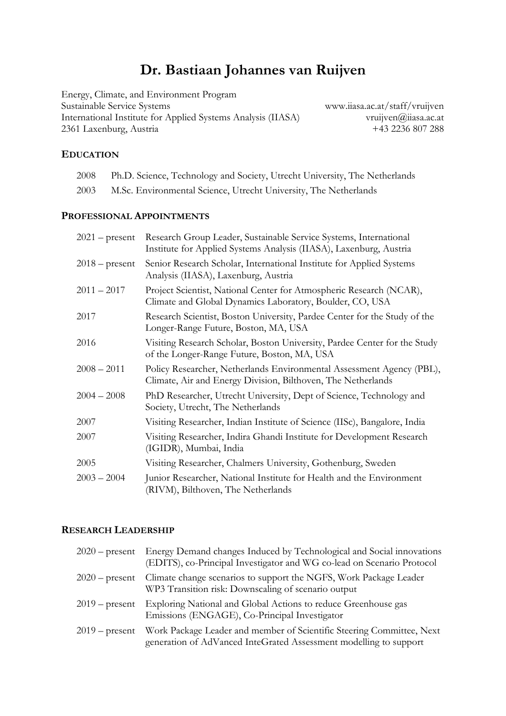# **Dr. Bastiaan Johannes van Ruijven**

Energy, Climate, and Environment Program Sustainable Service Systems www.iiasa.ac.at/staff/vruijven International Institute for Applied Systems Analysis (IIASA) [vruijven@](mailto:vruijven)iiasa.ac.at<br>2361 Laxenburg, Austria +43 2236 807 288 2361 Laxenburg, Austria

#### **EDUCATION**

| 2008 | Ph.D. Science, Technology and Society, Utrecht University, The Netherlands |
|------|----------------------------------------------------------------------------|
| 2003 | M.Sc. Environmental Science, Utrecht University, The Netherlands           |

#### **PROFESSIONAL APPOINTMENTS**

| $2021$ – present | Research Group Leader, Sustainable Service Systems, International<br>Institute for Applied Systems Analysis (IIASA), Laxenburg, Austria |
|------------------|-----------------------------------------------------------------------------------------------------------------------------------------|
| $2018$ – present | Senior Research Scholar, International Institute for Applied Systems<br>Analysis (IIASA), Laxenburg, Austria                            |
| $2011 - 2017$    | Project Scientist, National Center for Atmospheric Research (NCAR),<br>Climate and Global Dynamics Laboratory, Boulder, CO, USA         |
| 2017             | Research Scientist, Boston University, Pardee Center for the Study of the<br>Longer-Range Future, Boston, MA, USA                       |
| 2016             | Visiting Research Scholar, Boston University, Pardee Center for the Study<br>of the Longer-Range Future, Boston, MA, USA                |
| $2008 - 2011$    | Policy Researcher, Netherlands Environmental Assessment Agency (PBL),<br>Climate, Air and Energy Division, Bilthoven, The Netherlands   |
| $2004 - 2008$    | PhD Researcher, Utrecht University, Dept of Science, Technology and<br>Society, Utrecht, The Netherlands                                |
| 2007             | Visiting Researcher, Indian Institute of Science (IISc), Bangalore, India                                                               |
| 2007             | Visiting Researcher, Indira Ghandi Institute for Development Research<br>(IGIDR), Mumbai, India                                         |
| 2005             | Visiting Researcher, Chalmers University, Gothenburg, Sweden                                                                            |
| $2003 - 2004$    | Junior Researcher, National Institute for Health and the Environment<br>(RIVM), Bilthoven, The Netherlands                              |

#### **RESEARCH LEADERSHIP**

|                  | 2020 – present Energy Demand changes Induced by Technological and Social innovations<br>(EDITS), co-Principal Investigator and WG co-lead on Scenario Protocol |
|------------------|----------------------------------------------------------------------------------------------------------------------------------------------------------------|
|                  | 2020 – present Climate change scenarios to support the NGFS, Work Package Leader<br>WP3 Transition risk: Downscaling of scenario output                        |
| $2019$ – present | Exploring National and Global Actions to reduce Greenhouse gas<br>Emissions (ENGAGE), Co-Principal Investigator                                                |
|                  | 2019 – present Work Package Leader and member of Scientific Steering Committee, Next<br>generation of AdVanced InteGrated Assessment modelling to support      |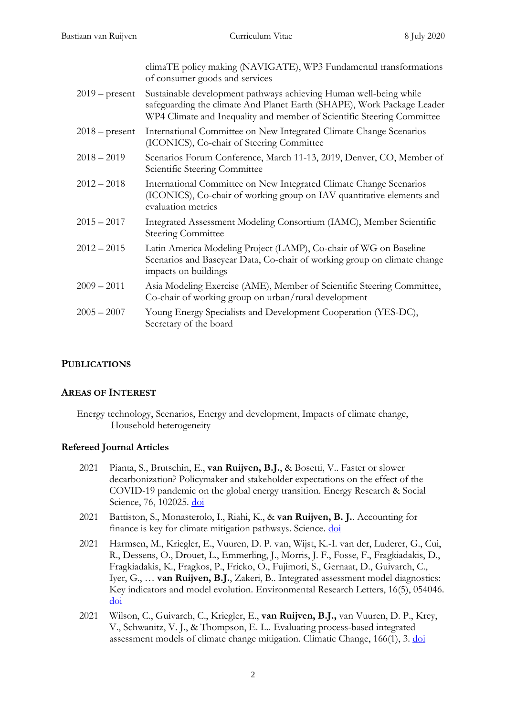|                  | climaTE policy making (NAVIGATE), WP3 Fundamental transformations<br>of consumer goods and services                                                                                                                   |
|------------------|-----------------------------------------------------------------------------------------------------------------------------------------------------------------------------------------------------------------------|
| $2019$ – present | Sustainable development pathways achieving Human well-being while<br>safeguarding the climate And Planet Earth (SHAPE), Work Package Leader<br>WP4 Climate and Inequality and member of Scientific Steering Committee |
| $2018$ – present | International Committee on New Integrated Climate Change Scenarios<br>(ICONICS), Co-chair of Steering Committee                                                                                                       |
| $2018 - 2019$    | Scenarios Forum Conference, March 11-13, 2019, Denver, CO, Member of<br>Scientific Steering Committee                                                                                                                 |
| $2012 - 2018$    | International Committee on New Integrated Climate Change Scenarios<br>(ICONICS), Co-chair of working group on IAV quantitative elements and<br>evaluation metrics                                                     |
| $2015 - 2017$    | Integrated Assessment Modeling Consortium (IAMC), Member Scientific<br><b>Steering Committee</b>                                                                                                                      |
| $2012 - 2015$    | Latin America Modeling Project (LAMP), Co-chair of WG on Baseline<br>Scenarios and Baseyear Data, Co-chair of working group on climate change<br>impacts on buildings                                                 |
| $2009 - 2011$    | Asia Modeling Exercise (AME), Member of Scientific Steering Committee,<br>Co-chair of working group on urban/rural development                                                                                        |
| $2005 - 2007$    | Young Energy Specialists and Development Cooperation (YES-DC),<br>Secretary of the board                                                                                                                              |

# **PUBLICATIONS**

# **AREAS OF INTEREST**

Energy technology, Scenarios, Energy and development, Impacts of climate change, Household heterogeneity

# **Refereed Journal Articles**

- 2021 Pianta, S., Brutschin, E., **van Ruijven, B.J.**, & Bosetti, V.. Faster or slower decarbonization? Policymaker and stakeholder expectations on the effect of the COVID-19 pandemic on the global energy transition. Energy Research & Social Science, 76, 102025. [doi](https://doi.org/10.1016/j.erss.2021.102025)
- 2021 Battiston, S., Monasterolo, I., Riahi, K., & **van Ruijven, B. J.**. Accounting for finance is key for climate mitigation pathways. Science. [doi](https://doi.org/10.1126/science.abf3877)
- 2021 Harmsen, M., Kriegler, E., Vuuren, D. P. van, Wijst, K.-I. van der, Luderer, G., Cui, R., Dessens, O., Drouet, L., Emmerling, J., Morris, J. F., Fosse, F., Fragkiadakis, D., Fragkiadakis, K., Fragkos, P., Fricko, O., Fujimori, S., Gernaat, D., Guivarch, C., Iyer, G., … **van Ruijven, B.J.**, Zakeri, B.. Integrated assessment model diagnostics: Key indicators and model evolution. Environmental Research Letters, 16(5), 054046. [doi](https://doi.org/10.1088/1748-9326/abf964)
- 2021 Wilson, C., Guivarch, C., Kriegler, E., **van Ruijven, B.J.,** van Vuuren, D. P., Krey, V., Schwanitz, V. J., & Thompson, E. L.. Evaluating process-based integrated assessment models of climate change mitigation. Climatic Change, 166(1), 3. [doi](https://doi.org/10.1007/s10584-021-03099-9)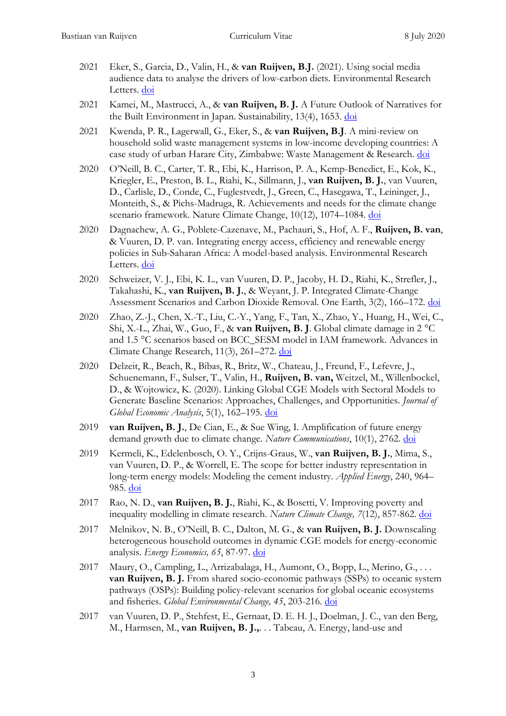- 2021 Eker, S., Garcia, D., Valin, H., & **van Ruijven, B.J.** (2021). Using social media audience data to analyse the drivers of low-carbon diets. Environmental Research Letters. [doi](https://doi.org/10.1088/1748-9326/abf770)
- 2021 Kamei, M., Mastrucci, A., & **van Ruijven, B. J.** A Future Outlook of Narratives for the Built Environment in Japan. Sustainability, 13(4), 1653. [doi](https://doi.org/10.3390/su13041653)
- 2021 Kwenda, P. R., Lagerwall, G., Eker, S., & **van Ruijven, B.J**. A mini-review on household solid waste management systems in low-income developing countries: A case study of urban Harare City, Zimbabwe: Waste Management & Research. [doi](https://doi.org/10.1177/0734242X21991645)
- 2020 O'Neill, B. C., Carter, T. R., Ebi, K., Harrison, P. A., Kemp-Benedict, E., Kok, K., Kriegler, E., Preston, B. L., Riahi, K., Sillmann, J., **van Ruijven, B. J.**, van Vuuren, D., Carlisle, D., Conde, C., Fuglestvedt, J., Green, C., Hasegawa, T., Leininger, J., Monteith, S., & Pichs-Madruga, R. Achievements and needs for the climate change scenario framework. Nature Climate Change, 10(12), 1074–1084. [doi](https://doi.org/10.1038/s41558-020-00952-0)
- 2020 Dagnachew, A. G., Poblete-Cazenave, M., Pachauri, S., Hof, A. F., **Ruijven, B. van**, & Vuuren, D. P. van. Integrating energy access, efficiency and renewable energy policies in Sub-Saharan Africa: A model-based analysis. Environmental Research Letters. [doi](https://doi.org/10.1088/1748-9326/abcbb9)
- 2020 Schweizer, V. J., Ebi, K. L., van Vuuren, D. P., Jacoby, H. D., Riahi, K., Strefler, J., Takahashi, K., **van Ruijven, B. J.**, & Weyant, J. P. Integrated Climate-Change Assessment Scenarios and Carbon Dioxide Removal. One Earth, 3(2), 166–172. [doi](https://doi.org/10.1016/j.oneear.2020.08.001)
- 2020 Zhao, Z.-J., Chen, X.-T., Liu, C.-Y., Yang, F., Tan, X., Zhao, Y., Huang, H., Wei, C., Shi, X.-L., Zhai, W., Guo, F., & **van Ruijven, B. J**. Global climate damage in 2 °C and 1.5 °C scenarios based on BCC\_SESM model in IAM framework. Advances in Climate Change Research, 11(3), 261–272. [doi](https://doi.org/10.1016/j.accre.2020.09.008)
- 2020 Delzeit, R., Beach, R., Bibas, R., Britz, W., Chateau, J., Freund, F., Lefevre, J., Schuenemann, F., Sulser, T., Valin, H., **Ruijven, B. van,** Weitzel, M., Willenbockel, D., & Wojtowicz, K. (2020). Linking Global CGE Models with Sectoral Models to Generate Baseline Scenarios: Approaches, Challenges, and Opportunities. *Journal of Global Economic Analysis*, 5(1), 162–195. [doi](https://doi.org/10.21642/JGEA.050105AF)
- 2019 **van Ruijven, B. J.**, De Cian, E., & Sue Wing, I. Amplification of future energy demand growth due to climate change. *Nature Communications*, 10(1), 2762. [doi](https://doi.org/10.1038/s41467-019-10399-3)
- 2019 Kermeli, K., Edelenbosch, O. Y., Crijns-Graus, W., **van Ruijven, B. J.**, Mima, S., van Vuuren, D. P., & Worrell, E. The scope for better industry representation in long-term energy models: Modeling the cement industry. *Applied Energy*, 240, 964– 985. [doi](https://doi.org/10.1016/j.apenergy.2019.01.252)
- 2017 Rao, N. D., **van Ruijven, B. J.**, Riahi, K., & Bosetti, V. Improving poverty and inequality modelling in climate research. *Nature Climate Change, 7*(12), 857-862. [doi](http://dx.doi.org/10.1038/s41558-017-0004-x)
- 2017 Melnikov, N. B., O'Neill, B. C., Dalton, M. G., & **van Ruijven, B. J.** Downscaling heterogeneous household outcomes in dynamic CGE models for energy-economic analysis. *Energy Economics, 65*, 87-97. [doi](http://dx.doi.org/10.1016/j.eneco.2017.04.023)
- 2017 Maury, O., Campling, L., Arrizabalaga, H., Aumont, O., Bopp, L., Merino, G., . . . **van Ruijven, B. J.** From shared socio-economic pathways (SSPs) to oceanic system pathways (OSPs): Building policy-relevant scenarios for global oceanic ecosystems and fisheries. *Global Environmental Change, 45*, 203-216. [doi](http://dx.doi.org/10.1016/j.gloenvcha.2017.06.007)
- 2017 van Vuuren, D. P., Stehfest, E., Gernaat, D. E. H. J., Doelman, J. C., van den Berg, M., Harmsen, M., **van Ruijven, B. J.,**. . . Tabeau, A. Energy, land-use and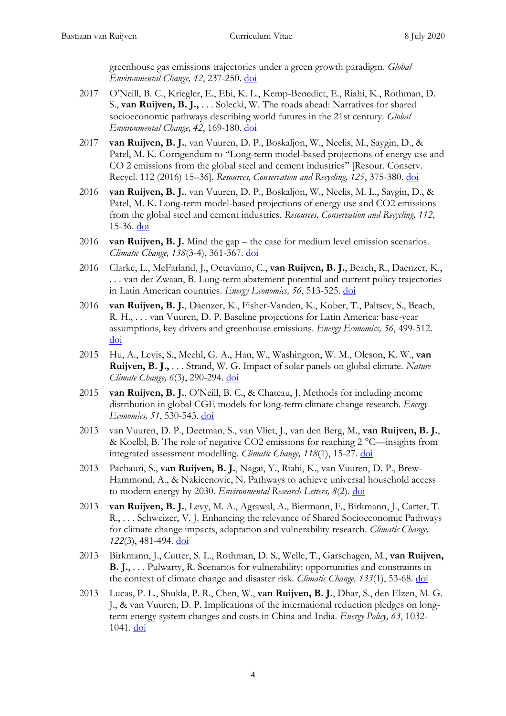greenhouse gas emissions trajectories under a green growth paradigm. *Global Environmental Change, 42*, 237-250. [doi](http://dx.doi.org/10.1016/j.gloenvcha.2016.05.008)

- 2017 O'Neill, B. C., Kriegler, E., Ebi, K. L., Kemp-Benedict, E., Riahi, K., Rothman, D. S., **van Ruijven, B. J.,** . . . Solecki, W. The roads ahead: Narratives for shared socioeconomic pathways describing world futures in the 21st century. *Global Environmental Change, 42*, 169-180. [doi](http://dx.doi.org/10.1016/j.gloenvcha.2015.01.004)
- 2017 **van Ruijven, B. J.**, van Vuuren, D. P., Boskaljon, W., Neelis, M., Saygin, D., & Patel, M. K. Corrigendum to "Long-term model-based projections of energy use and CO 2 emissions from the global steel and cement industries" [Resour. Conserv. Recycl. 112 (2016) 15–36]. *Resources, Conservation and Recycling, 125*, 375-380. [doi](http://dx.doi.org/10.1016/j.resconrec.2017.06.019)
- 2016 **van Ruijven, B. J.**, van Vuuren, D. P., Boskaljon, W., Neelis, M. L., Saygin, D., & Patel, M. K. Long-term model-based projections of energy use and CO2 emissions from the global steel and cement industries. *Resources, Conservation and Recycling, 112*, 15-36. [doi](http://dx.doi.org/10.1016/j.resconrec.2016.04.016)
- 2016 **van Ruijven, B. J.** Mind the gap the case for medium level emission scenarios. *Climatic Change, 138*(3-4), 361-367. [doi](http://dx.doi.org/10.1007/s10584-016-1744-8)
- 2016 Clarke, L., McFarland, J., Octaviano, C., **van Ruijven, B. J.**, Beach, R., Daenzer, K., . . . van der Zwaan, B. Long-term abatement potential and current policy trajectories in Latin American countries. *Energy Economics, 56*, 513-525. [doi](http://dx.doi.org/10.1016/j.eneco.2016.01.011)
- 2016 **van Ruijven, B. J.**, Daenzer, K., Fisher-Vanden, K., Kober, T., Paltsev, S., Beach, R. H., . . . van Vuuren, D. P. Baseline projections for Latin America: base-year assumptions, key drivers and greenhouse emissions. *Energy Economics, 56*, 499-512. [doi](http://dx.doi.org/10.1016/j.eneco.2015.02.003)
- 2015 Hu, A., Levis, S., Meehl, G. A., Han, W., Washington, W. M., Oleson, K. W., **van Ruijven, B. J.,** . . . Strand, W. G. Impact of solar panels on global climate. *Nature Climate Change, 6*(3), 290-294. [doi](http://dx.doi.org/10.1038/nclimate2843)
- 2015 **van Ruijven, B. J.**, O'Neill, B. C., & Chateau, J. Methods for including income distribution in global CGE models for long-term climate change research. *Energy Economics, 51*, 530-543. [doi](http://dx.doi.org/10.1016/j.eneco.2015.08.017)
- 2013 van Vuuren, D. P., Deetman, S., van Vliet, J., van den Berg, M., **van Ruijven, B. J.**, & Koelbl, B. The role of negative CO2 emissions for reaching 2 °C—insights from integrated assessment modelling. *Climatic Change, 118*(1), 15-27. [doi](http://dx.doi.org/10.1007/s10584-012-0680-5)
- 2013 Pachauri, S., **van Ruijven, B. J.**, Nagai, Y., Riahi, K., van Vuuren, D. P., Brew-Hammond, A., & Nakicenovic, N. Pathways to achieve universal household access to modern energy by 2030. *Environmental Research Letters, 8*(2). [doi](http://dx.doi.org/10.1088/1748-9326/8/2/024015)
- 2013 **van Ruijven, B. J.**, Levy, M. A., Agrawal, A., Biermann, F., Birkmann, J., Carter, T. R., . . . Schweizer, V. J. Enhancing the relevance of Shared Socioeconomic Pathways for climate change impacts, adaptation and vulnerability research. *Climatic Change, 122*(3), 481-494. [doi](http://dx.doi.org/10.1007/s10584-013-0931-0)
- 2013 Birkmann, J., Cutter, S. L., Rothman, D. S., Welle, T., Garschagen, M., **van Ruijven, B. J.**, . . . Pulwarty, R. Scenarios for vulnerability: opportunities and constraints in the context of climate change and disaster risk. *Climatic Change, 133*(1), 53-68. [doi](http://dx.doi.org/10.1007/s10584-013-0913-2)
- 2013 Lucas, P. L., Shukla, P. R., Chen, W., **van Ruijven, B. J.**, Dhar, S., den Elzen, M. G. J., & van Vuuren, D. P. Implications of the international reduction pledges on longterm energy system changes and costs in China and India. *Energy Policy, 63*, 1032 1041. [doi](http://dx.doi.org/10.1016/j.enpol.2013.09.026)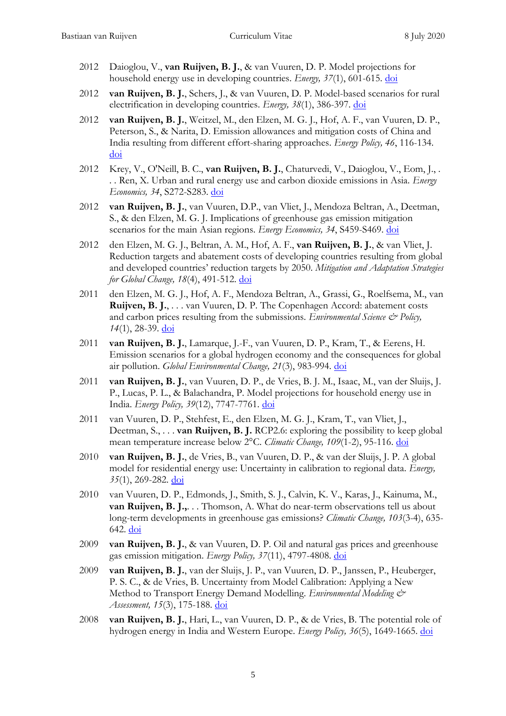- 2012 Daioglou, V., **van Ruijven, B. J.**, & van Vuuren, D. P. Model projections for household energy use in developing countries. *Energy, 37*(1), 601-615. [doi](http://dx.doi.org/10.1016/j.energy.2011.10.044)
- 2012 **van Ruijven, B. J.**, Schers, J., & van Vuuren, D. P. Model-based scenarios for rural electrification in developing countries. *Energy, 38*(1), 386-397. [doi](http://dx.doi.org/10.1016/j.energy.2011.11.037)
- 2012 **van Ruijven, B. J.**, Weitzel, M., den Elzen, M. G. J., Hof, A. F., van Vuuren, D. P., Peterson, S., & Narita, D. Emission allowances and mitigation costs of China and India resulting from different effort-sharing approaches. *Energy Policy, 46*, 116-134. [doi](http://dx.doi.org/10.1016/j.enpol.2012.03.042)
- 2012 Krey, V., O'Neill, B. C., **van Ruijven, B. J.**, Chaturvedi, V., Daioglou, V., Eom, J., . . . Ren, X. Urban and rural energy use and carbon dioxide emissions in Asia. *Energy Economics, 34*, S272-S283. [doi](http://dx.doi.org/10.1016/j.eneco.2012.04.013)
- 2012 **van Ruijven, B. J.**, van Vuuren, D.P., van Vliet, J., Mendoza Beltran, A., Deetman, S., & den Elzen, M. G. J. Implications of greenhouse gas emission mitigation scenarios for the main Asian regions. *Energy Economics, 34*, S459-S469. [doi](http://dx.doi.org/10.1016/j.eneco.2012.03.013)
- 2012 den Elzen, M. G. J., Beltran, A. M., Hof, A. F., **van Ruijven, B. J.**, & van Vliet, J. Reduction targets and abatement costs of developing countries resulting from global and developed countries' reduction targets by 2050. *Mitigation and Adaptation Strategies for Global Change, 18*(4), 491-512. [doi](http://dx.doi.org/10.1007/s11027-012-9371-9)
- 2011 den Elzen, M. G. J., Hof, A. F., Mendoza Beltran, A., Grassi, G., Roelfsema, M., van **Ruijven, B. J.**, . . . van Vuuren, D. P. The Copenhagen Accord: abatement costs and carbon prices resulting from the submissions. *Environmental Science & Policy*, *14*(1), 28-39. [doi](http://dx.doi.org/10.1016/j.envsci.2010.10.010)
- 2011 **van Ruijven, B. J.**, Lamarque, J.-F., van Vuuren, D. P., Kram, T., & Eerens, H. Emission scenarios for a global hydrogen economy and the consequences for global air pollution. *Global Environmental Change, 21*(3), 983-994. [doi](http://dx.doi.org/10.1016/j.gloenvcha.2011.03.013)
- 2011 **van Ruijven, B. J.**, van Vuuren, D. P., de Vries, B. J. M., Isaac, M., van der Sluijs, J. P., Lucas, P. L., & Balachandra, P. Model projections for household energy use in India. *Energy Policy, 39*(12), 7747-7761. [doi](http://dx.doi.org/10.1016/j.enpol.2011.09.021)
- 2011 van Vuuren, D. P., Stehfest, E., den Elzen, M. G. J., Kram, T., van Vliet, J., Deetman, S., . . . **van Ruijven, B. J.** RCP2.6: exploring the possibility to keep global mean temperature increase below 2°C. *Climatic Change, 109*(1-2), 95-116. [doi](http://dx.doi.org/10.1007/s10584-011-0152-3)
- 2010 **van Ruijven, B. J.**, de Vries, B., van Vuuren, D. P., & van der Sluijs, J. P. A global model for residential energy use: Uncertainty in calibration to regional data. *Energy, 35*(1), 269-282. [doi](http://dx.doi.org/10.1016/j.energy.2009.09.019)
- 2010 van Vuuren, D. P., Edmonds, J., Smith, S. J., Calvin, K. V., Karas, J., Kainuma, M., **van Ruijven, B. J.,**. . . Thomson, A. What do near-term observations tell us about long-term developments in greenhouse gas emissions? *Climatic Change, 103*(3-4), 635 642. [doi](http://dx.doi.org/10.1007/s10584-010-9940-4)
- 2009 **van Ruijven, B. J.**, & van Vuuren, D. P. Oil and natural gas prices and greenhouse gas emission mitigation. *Energy Policy, 37*(11), 4797-4808. [doi](http://dx.doi.org/10.1016/j.enpol.2009.06.037)
- 2009 **van Ruijven, B. J.**, van der Sluijs, J. P., van Vuuren, D. P., Janssen, P., Heuberger, P. S. C., & de Vries, B. Uncertainty from Model Calibration: Applying a New Method to Transport Energy Demand Modelling. *Environmental Modeling & Assessment, 15*(3), 175-188. [doi](http://dx.doi.org/10.1007/s10666-009-9200-z)
- 2008 **van Ruijven, B. J.**, Hari, L., van Vuuren, D. P., & de Vries, B. The potential role of hydrogen energy in India and Western Europe. *Energy Policy, 36*(5), 1649-1665. [doi](http://dx.doi.org/10.1016/j.enpol.2008.01.020)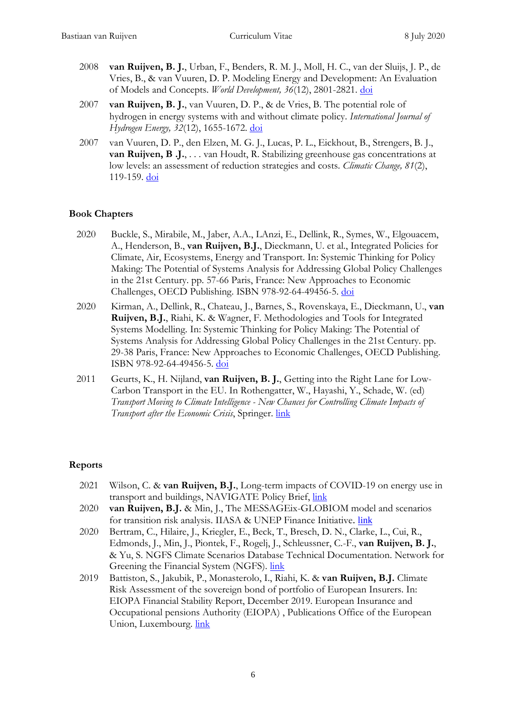- 2008 **van Ruijven, B. J.**, Urban, F., Benders, R. M. J., Moll, H. C., van der Sluijs, J. P., de Vries, B., & van Vuuren, D. P. Modeling Energy and Development: An Evaluation of Models and Concepts. *World Development, 36*(12), 2801-2821. [doi](http://dx.doi.org/10.1016/j.worlddev.2008.01.011)
- 2007 **van Ruijven, B. J.**, van Vuuren, D. P., & de Vries, B. The potential role of hydrogen in energy systems with and without climate policy. *International Journal of Hydrogen Energy, 32*(12), 1655-1672. [doi](http://dx.doi.org/10.1016/j.ijhydene.2006.08.036)
- 2007 van Vuuren, D. P., den Elzen, M. G. J., Lucas, P. L., Eickhout, B., Strengers, B. J., **van Ruijven, B .J.**, . . . van Houdt, R. Stabilizing greenhouse gas concentrations at low levels: an assessment of reduction strategies and costs. *Climatic Change, 81*(2), 119-159. [doi](http://dx.doi.org/10.1007/s10584-006-9172-9)

#### **Book Chapters**

- 2020 Buckle, S., Mirabile, M., Jaber, A.A., LAnzi, E., Dellink, R., Symes, W., Elgouacem, A., Henderson, B., **van Ruijven, B.J.**, Dieckmann, U. et al., Integrated Policies for Climate, Air, Ecosystems, Energy and Transport. In: Systemic Thinking for Policy Making: The Potential of Systems Analysis for Addressing Global Policy Challenges in the 21st Century. pp. 57-66 Paris, France: New Approaches to Economic Challenges, OECD Publishing. ISBN 978-92-64-49456-5. [doi](http://dx.doi.org/10.1787/879c4f7a-en)
- 2020 Kirman, A., Dellink, R., Chateau, J., Barnes, S., Rovenskaya, E., Dieckmann, U., **van Ruijven, B.J.**, Riahi, K. & Wagner, F. Methodologies and Tools for Integrated Systems Modelling. In: Systemic Thinking for Policy Making: The Potential of Systems Analysis for Addressing Global Policy Challenges in the 21st Century. pp. 29-38 Paris, France: New Approaches to Economic Challenges, OECD Publishing. ISBN 978-92-64-49456-5. [doi](http://dx.doi.org/10.1787/879c4f7a-en)
- 2011 Geurts, K., H. Nijland, **van Ruijven, B. J.**, Getting into the Right Lane for Low-Carbon Transport in the EU. In Rothengatter, W., Hayashi, Y., Schade, W. (ed) *Transport Moving to Climate Intelligence - New Chances for Controlling Climate Impacts of Transport after the Economic Crisis*, Springer. [link](https://link.springer.com/chapter/10.1007/978-1-4419-7643-7_5)

#### **Reports**

- 2021 Wilson, C. & **van Ruijven, B.J.**, Long-term impacts of COVID-19 on energy use in transport and buildings, NAVIGATE Policy Brief, [link](http://pure.iiasa.ac.at/id/eprint/17191/1/NAVIGATE%20Policy%20brief%20-%20Long-term%20impacts%20of%20%20COVID-19%20on%20energy%20use%20in%20transport%20and%20buildings.pdf)
- 2020 **van Ruijven, B.J.** & Min, J., The MESSAGEix-GLOBIOM model and scenarios for transition risk analysis. IIASA & UNEP Finance Initiative. [link](http://pure.iiasa.ac.at/id/eprint/16748/)
- 2020 Bertram, C., Hilaire, J., Kriegler, E., Beck, T., Bresch, D. N., Clarke, L., Cui, R., Edmonds, J., Min, J., Piontek, F., Rogelj, J., Schleussner, C.-F., **van Ruijven, B. J.**, & Yu, S. NGFS Climate Scenarios Database Technical Documentation. Network for Greening the Financial System (NGFS). [link](https://www.ngfs.net/sites/default/files/ngfs_climate_scenario_technical_documentation_final.pdf)
- 2019 Battiston, S., Jakubik, P., Monasterolo, I., Riahi, K. & **van Ruijven, B.J.** Climate Risk Assessment of the sovereign bond of portfolio of European Insurers. In: EIOPA Financial Stability Report, December 2019. European Insurance and Occupational pensions Authority (EIOPA) , Publications Office of the European Union, Luxembourg. [link](https://www.eiopa.europa.eu/content/climate-risk-assessment-sovereign-bond-portfolio-european-insurers_en)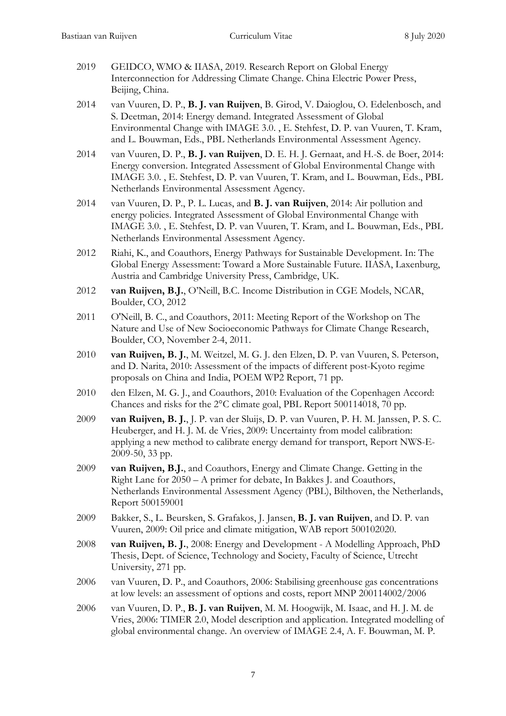- 2019 GEIDCO, WMO & IIASA, 2019. Research Report on Global Energy Interconnection for Addressing Climate Change. China Electric Power Press, Beijing, China.
- 2014 van Vuuren, D. P., **B. J. van Ruijven**, B. Girod, V. Daioglou, O. Edelenbosch, and S. Deetman, 2014: Energy demand. Integrated Assessment of Global Environmental Change with IMAGE 3.0. , E. Stehfest, D. P. van Vuuren, T. Kram, and L. Bouwman, Eds., PBL Netherlands Environmental Assessment Agency.
- 2014 van Vuuren, D. P., **B. J. van Ruijven**, D. E. H. J. Gernaat, and H.-S. de Boer, 2014: Energy conversion. Integrated Assessment of Global Environmental Change with IMAGE 3.0. , E. Stehfest, D. P. van Vuuren, T. Kram, and L. Bouwman, Eds., PBL Netherlands Environmental Assessment Agency.
- 2014 van Vuuren, D. P., P. L. Lucas, and **B. J. van Ruijven**, 2014: Air pollution and energy policies. Integrated Assessment of Global Environmental Change with IMAGE 3.0. , E. Stehfest, D. P. van Vuuren, T. Kram, and L. Bouwman, Eds., PBL Netherlands Environmental Assessment Agency.
- 2012 Riahi, K., and Coauthors, Energy Pathways for Sustainable Development. In: The Global Energy Assessment: Toward a More Sustainable Future. IIASA, Laxenburg, Austria and Cambridge University Press, Cambridge, UK.
- 2012 **van Ruijven, B.J.**, O'Neill, B.C. Income Distribution in CGE Models, NCAR, Boulder, CO, 2012
- 2011 O'Neill, B. C., and Coauthors, 2011: Meeting Report of the Workshop on The Nature and Use of New Socioeconomic Pathways for Climate Change Research, Boulder, CO, November 2-4, 2011.
- 2010 **van Ruijven, B. J.**, M. Weitzel, M. G. J. den Elzen, D. P. van Vuuren, S. Peterson, and D. Narita, 2010: Assessment of the impacts of different post-Kyoto regime proposals on China and India, POEM WP2 Report, 71 pp.
- 2010 den Elzen, M. G. J., and Coauthors, 2010: Evaluation of the Copenhagen Accord: Chances and risks for the 2°C climate goal, PBL Report 500114018, 70 pp.
- 2009 **van Ruijven, B. J.**, J. P. van der Sluijs, D. P. van Vuuren, P. H. M. Janssen, P. S. C. Heuberger, and H. J. M. de Vries, 2009: Uncertainty from model calibration: applying a new method to calibrate energy demand for transport, Report NWS-E-2009-50, 33 pp.
- 2009 **van Ruijven, B.J.**, and Coauthors, Energy and Climate Change. Getting in the Right Lane for 2050 – A primer for debate, In Bakkes J. and Coauthors, Netherlands Environmental Assessment Agency (PBL), Bilthoven, the Netherlands, Report 500159001
- 2009 Bakker, S., L. Beursken, S. Grafakos, J. Jansen, **B. J. van Ruijven**, and D. P. van Vuuren, 2009: Oil price and climate mitigation, WAB report 500102020.
- 2008 **van Ruijven, B. J.**, 2008: Energy and Development A Modelling Approach, PhD Thesis, Dept. of Science, Technology and Society, Faculty of Science, Utrecht University, 271 pp.
- 2006 van Vuuren, D. P., and Coauthors, 2006: Stabilising greenhouse gas concentrations at low levels: an assessment of options and costs, report MNP 200114002/2006
- 2006 van Vuuren, D. P., **B. J. van Ruijven**, M. M. Hoogwijk, M. Isaac, and H. J. M. de Vries, 2006: TIMER 2.0, Model description and application. Integrated modelling of global environmental change. An overview of IMAGE 2.4, A. F. Bouwman, M. P.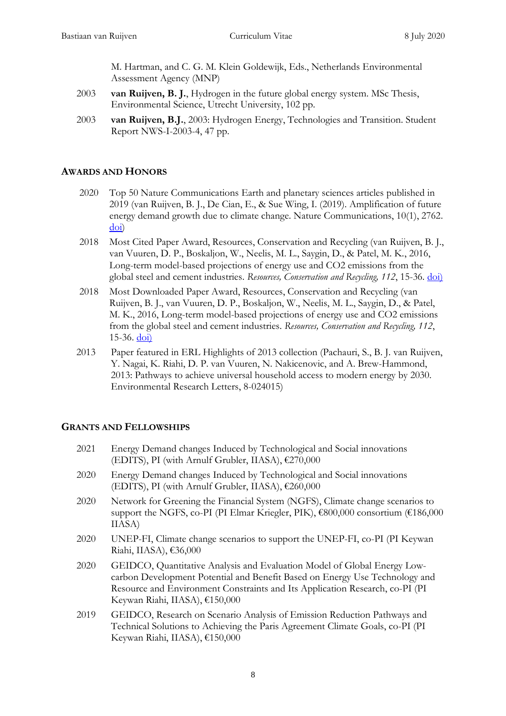M. Hartman, and C. G. M. Klein Goldewijk, Eds., Netherlands Environmental Assessment Agency (MNP)

- 2003 **van Ruijven, B. J.**, Hydrogen in the future global energy system. MSc Thesis, Environmental Science, Utrecht University, 102 pp.
- 2003 **van Ruijven, B.J.**, 2003: Hydrogen Energy, Technologies and Transition. Student Report NWS-I-2003-4, 47 pp.

#### **AWARDS AND HONORS**

- 2020 Top 50 Nature Communications Earth and planetary sciences articles published in 2019 (van Ruijven, B. J., De Cian, E., & Sue Wing, I. (2019). Amplification of future energy demand growth due to climate change. Nature Communications, 10(1), 2762. [doi\)](https://doi.org/10.1038/s41467-019-10399-3)
- 2018 Most Cited Paper Award, Resources, Conservation and Recycling (van Ruijven, B. J., van Vuuren, D. P., Boskaljon, W., Neelis, M. L., Saygin, D., & Patel, M. K., 2016, Long-term model-based projections of energy use and CO2 emissions from the global steel and cement industries. *Resources, Conservation and Recycling, 112*, 15-36. [doi\)](http://dx.doi.org/10.1016/j.resconrec.2016.04.016)
- 2018 Most Downloaded Paper Award, Resources, Conservation and Recycling (van Ruijven, B. J., van Vuuren, D. P., Boskaljon, W., Neelis, M. L., Saygin, D., & Patel, M. K., 2016, Long-term model-based projections of energy use and CO2 emissions from the global steel and cement industries. *Resources, Conservation and Recycling, 112*,  $15-36.$  [doi\)](http://dx.doi.org/10.1016/j.resconrec.2016.04.016)
- 2013 Paper featured in ERL Highlights of 2013 collection (Pachauri, S., B. J. van Ruijven, Y. Nagai, K. Riahi, D. P. van Vuuren, N. Nakicenovic, and A. Brew-Hammond, 2013: Pathways to achieve universal household access to modern energy by 2030. Environmental Research Letters, 8-024015)

# **GRANTS AND FELLOWSHIPS**

- 2021 Energy Demand changes Induced by Technological and Social innovations (EDITS), PI (with Arnulf Grubler, IIASA), €270,000
- 2020 Energy Demand changes Induced by Technological and Social innovations (EDITS), PI (with Arnulf Grubler, IIASA), €260,000
- 2020 Network for Greening the Financial System (NGFS), Climate change scenarios to support the NGFS, co-PI (PI Elmar Kriegler, PIK), €800,000 consortium (€186,000 IIASA)
- 2020 UNEP-FI, Climate change scenarios to support the UNEP-FI, co-PI (PI Keywan Riahi, IIASA), €36,000
- 2020 GEIDCO, Quantitative Analysis and Evaluation Model of Global Energy Lowcarbon Development Potential and Benefit Based on Energy Use Technology and Resource and Environment Constraints and Its Application Research, co-PI (PI Keywan Riahi, IIASA), €150,000
- 2019 GEIDCO, Research on Scenario Analysis of Emission Reduction Pathways and Technical Solutions to Achieving the Paris Agreement Climate Goals, co-PI (PI Keywan Riahi, IIASA), €150,000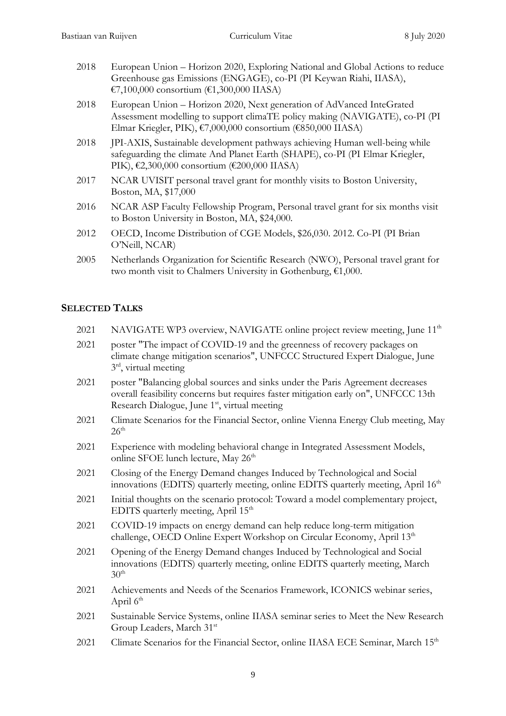- 2018 European Union Horizon 2020, Exploring National and Global Actions to reduce Greenhouse gas Emissions (ENGAGE), co-PI (PI Keywan Riahi, IIASA), €7,100,000 consortium (€1,300,000 IIASA)
- 2018 European Union Horizon 2020, Next generation of AdVanced InteGrated Assessment modelling to support climaTE policy making (NAVIGATE), co-PI (PI Elmar Kriegler, PIK), €7,000,000 consortium (€850,000 IIASA)
- 2018 JPI-AXIS, Sustainable development pathways achieving Human well-being while safeguarding the climate And Planet Earth (SHAPE), co-PI (PI Elmar Kriegler, PIK), €2,300,000 consortium (€200,000 IIASA)
- 2017 NCAR UVISIT personal travel grant for monthly visits to Boston University, Boston, MA, \$17,000
- 2016 NCAR ASP Faculty Fellowship Program, Personal travel grant for six months visit to Boston University in Boston, MA, \$24,000.
- 2012 OECD, Income Distribution of CGE Models, \$26,030. 2012. Co-PI (PI Brian O'Neill, NCAR)
- 2005 Netherlands Organization for Scientific Research (NWO), Personal travel grant for two month visit to Chalmers University in Gothenburg, €1,000.

#### **SELECTED TALKS**

- 2021 NAVIGATE WP3 overview, NAVIGATE online project review meeting, June 11<sup>th</sup>
- 2021 poster "The impact of COVID-19 and the greenness of recovery packages on climate change mitigation scenarios", UNFCCC Structured Expert Dialogue, June 3 rd , virtual meeting
- 2021 poster "Balancing global sources and sinks under the Paris Agreement decreases overall feasibility concerns but requires faster mitigation early on", UNFCCC 13th Research Dialogue, June 1<sup>st</sup>, virtual meeting
- 2021 Climate Scenarios for the Financial Sector, online Vienna Energy Club meeting, May  $26<sup>th</sup>$
- 2021 Experience with modeling behavioral change in Integrated Assessment Models, online SFOE lunch lecture, May 26<sup>th</sup>
- 2021 Closing of the Energy Demand changes Induced by Technological and Social innovations (EDITS) quarterly meeting, online EDITS quarterly meeting, April 16<sup>th</sup>
- 2021 Initial thoughts on the scenario protocol: Toward a model complementary project, EDITS quarterly meeting, April 15<sup>th</sup>
- 2021 COVID-19 impacts on energy demand can help reduce long-term mitigation challenge, OECD Online Expert Workshop on Circular Economy, April 13<sup>th</sup>
- 2021 Opening of the Energy Demand changes Induced by Technological and Social innovations (EDITS) quarterly meeting, online EDITS quarterly meeting, March  $30<sup>th</sup>$
- 2021 Achievements and Needs of the Scenarios Framework, ICONICS webinar series, April 6<sup>th</sup>
- 2021 Sustainable Service Systems, online IIASA seminar series to Meet the New Research Group Leaders, March 31st
- 2021 Climate Scenarios for the Financial Sector, online IIASA ECE Seminar, March 15<sup>th</sup>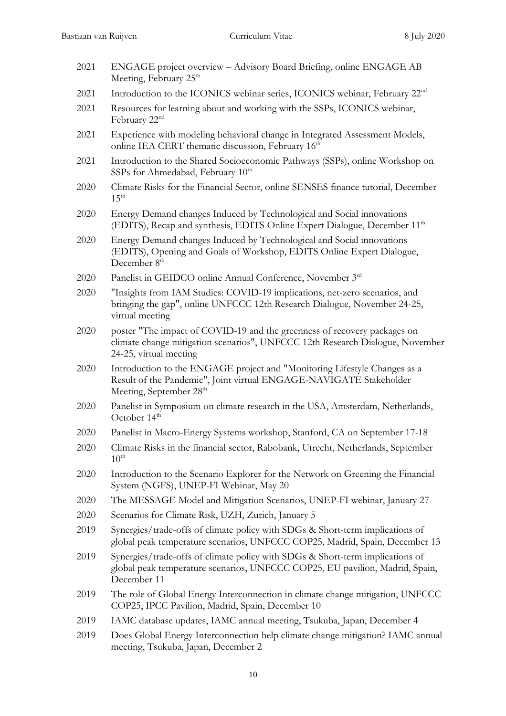| 2021 | ENGAGE project overview - Advisory Board Briefing, online ENGAGE AB<br>Meeting, February 25 <sup>th</sup>                                                                              |
|------|----------------------------------------------------------------------------------------------------------------------------------------------------------------------------------------|
| 2021 | Introduction to the ICONICS webinar series, ICONICS webinar, February 22 <sup>nd</sup>                                                                                                 |
| 2021 | Resources for learning about and working with the SSPs, ICONICS webinar,<br>February 22 <sup>nd</sup>                                                                                  |
| 2021 | Experience with modeling behavioral change in Integrated Assessment Models,<br>online IEA CERT thematic discussion, February 16 <sup>th</sup>                                          |
| 2021 | Introduction to the Shared Socioeconomic Pathways (SSPs), online Workshop on<br>SSPs for Ahmedabad, February 10 <sup>th</sup>                                                          |
| 2020 | Climate Risks for the Financial Sector, online SENSES finance tutorial, December<br>$15^{\text{th}}$                                                                                   |
| 2020 | Energy Demand changes Induced by Technological and Social innovations<br>(EDITS), Recap and synthesis, EDITS Online Expert Dialogue, December 11 <sup>th</sup>                         |
| 2020 | Energy Demand changes Induced by Technological and Social innovations<br>(EDITS), Opening and Goals of Workshop, EDITS Online Expert Dialogue,<br>December 8 <sup>th</sup>             |
| 2020 | Panelist in GEIDCO online Annual Conference, November 3rd                                                                                                                              |
| 2020 | "Insights from IAM Studies: COVID-19 implications, net-zero scenarios, and<br>bringing the gap", online UNFCCC 12th Research Dialogue, November 24-25,<br>virtual meeting              |
| 2020 | poster "The impact of COVID-19 and the greenness of recovery packages on<br>climate change mitigation scenarios", UNFCCC 12th Research Dialogue, November<br>24-25, virtual meeting    |
| 2020 | Introduction to the ENGAGE project and "Monitoring Lifestyle Changes as a<br>Result of the Pandemic", Joint virtual ENGAGE-NAVIGATE Stakeholder<br>Meeting, September 28 <sup>th</sup> |
| 2020 | Panelist in Symposium on climate research in the USA, Amsterdam, Netherlands,<br>October 14 <sup>th</sup>                                                                              |
| 2020 | Panelist in Macro-Energy Systems workshop, Stanford, CA on September 17-18                                                                                                             |
| 2020 | Climate Risks in the financial sector, Rabobank, Utrecht, Netherlands, September<br>$10^{\text{th}}$                                                                                   |
| 2020 | Introduction to the Scenario Explorer for the Network on Greening the Financial<br>System (NGFS), UNEP-FI Webinar, May 20                                                              |
| 2020 | The MESSAGE Model and Mitigation Scenarios, UNEP-FI webinar, January 27                                                                                                                |
| 2020 | Scenarios for Climate Risk, UZH, Zurich, January 5                                                                                                                                     |
| 2019 | Synergies/trade-offs of climate policy with SDGs & Short-term implications of<br>global peak temperature scenarios, UNFCCC COP25, Madrid, Spain, December 13                           |
| 2019 | Synergies/trade-offs of climate policy with SDGs & Short-term implications of<br>global peak temperature scenarios, UNFCCC COP25, EU pavilion, Madrid, Spain,<br>December 11           |
| 2019 | The role of Global Energy Interconnection in climate change mitigation, UNFCCC<br>COP25, IPCC Pavilion, Madrid, Spain, December 10                                                     |
| 2019 | IAMC database updates, IAMC annual meeting, Tsukuba, Japan, December 4                                                                                                                 |
| 2019 | Does Global Energy Interconnection help climate change mitigation? IAMC annual<br>meeting, Tsukuba, Japan, December 2                                                                  |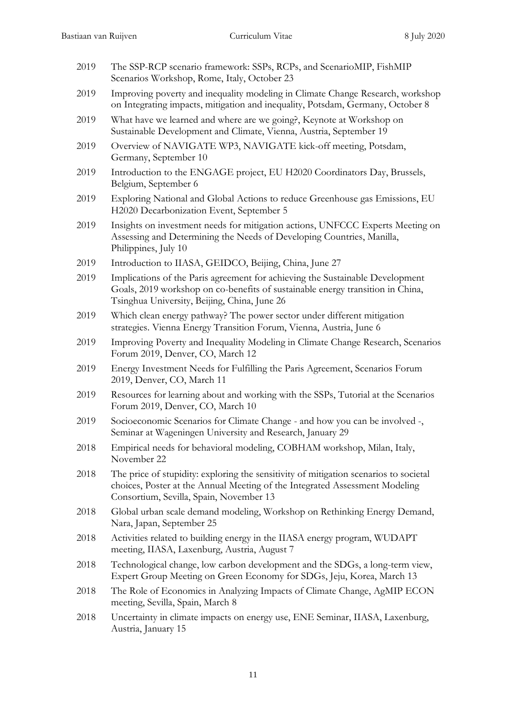- 2019 The SSP-RCP scenario framework: SSPs, RCPs, and ScenarioMIP, FishMIP Scenarios Workshop, Rome, Italy, October 23
- 2019 Improving poverty and inequality modeling in Climate Change Research, workshop on Integrating impacts, mitigation and inequality, Potsdam, Germany, October 8
- 2019 What have we learned and where are we going?, Keynote at Workshop on Sustainable Development and Climate, Vienna, Austria, September 19
- 2019 Overview of NAVIGATE WP3, NAVIGATE kick-off meeting, Potsdam, Germany, September 10
- 2019 Introduction to the ENGAGE project, EU H2020 Coordinators Day, Brussels, Belgium, September 6
- 2019 Exploring National and Global Actions to reduce Greenhouse gas Emissions, EU H2020 Decarbonization Event, September 5
- 2019 Insights on investment needs for mitigation actions, UNFCCC Experts Meeting on Assessing and Determining the Needs of Developing Countries, Manilla, Philippines, July 10
- 2019 Introduction to IIASA, GEIDCO, Beijing, China, June 27
- 2019 Implications of the Paris agreement for achieving the Sustainable Development Goals, 2019 workshop on co-benefits of sustainable energy transition in China, Tsinghua University, Beijing, China, June 26
- 2019 Which clean energy pathway? The power sector under different mitigation strategies. Vienna Energy Transition Forum, Vienna, Austria, June 6
- 2019 Improving Poverty and Inequality Modeling in Climate Change Research, Scenarios Forum 2019, Denver, CO, March 12
- 2019 Energy Investment Needs for Fulfilling the Paris Agreement, Scenarios Forum 2019, Denver, CO, March 11
- 2019 Resources for learning about and working with the SSPs, Tutorial at the Scenarios Forum 2019, Denver, CO, March 10
- 2019 Socioeconomic Scenarios for Climate Change and how you can be involved -, Seminar at Wageningen University and Research, January 29
- 2018 Empirical needs for behavioral modeling, COBHAM workshop, Milan, Italy, November 22
- 2018 The price of stupidity: exploring the sensitivity of mitigation scenarios to societal choices, Poster at the Annual Meeting of the Integrated Assessment Modeling Consortium, Sevilla, Spain, November 13
- 2018 Global urban scale demand modeling, Workshop on Rethinking Energy Demand, Nara, Japan, September 25
- 2018 Activities related to building energy in the IIASA energy program, WUDAPT meeting, IIASA, Laxenburg, Austria, August 7
- 2018 Technological change, low carbon development and the SDGs, a long-term view, Expert Group Meeting on Green Economy for SDGs, Jeju, Korea, March 13
- 2018 The Role of Economics in Analyzing Impacts of Climate Change, AgMIP ECON meeting, Sevilla, Spain, March 8
- 2018 Uncertainty in climate impacts on energy use, ENE Seminar, IIASA, Laxenburg, Austria, January 15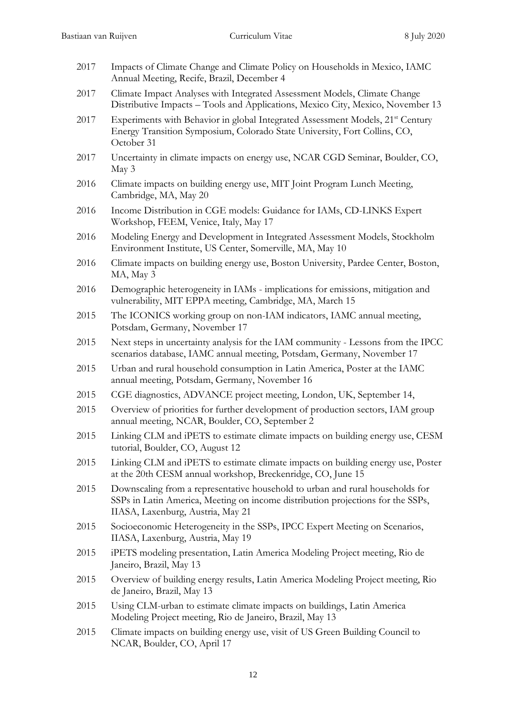- 2017 Impacts of Climate Change and Climate Policy on Households in Mexico, IAMC Annual Meeting, Recife, Brazil, December 4
- 2017 Climate Impact Analyses with Integrated Assessment Models, Climate Change Distributive Impacts – Tools and Applications, Mexico City, Mexico, November 13
- 2017 Experiments with Behavior in global Integrated Assessment Models, 21<sup>st</sup> Century Energy Transition Symposium, Colorado State University, Fort Collins, CO, October 31
- 2017 Uncertainty in climate impacts on energy use, NCAR CGD Seminar, Boulder, CO, May 3
- 2016 Climate impacts on building energy use, MIT Joint Program Lunch Meeting, Cambridge, MA, May 20
- 2016 Income Distribution in CGE models: Guidance for IAMs, CD-LINKS Expert Workshop, FEEM, Venice, Italy, May 17
- 2016 Modeling Energy and Development in Integrated Assessment Models, Stockholm Environment Institute, US Center, Somerville, MA, May 10
- 2016 Climate impacts on building energy use, Boston University, Pardee Center, Boston, MA, May 3
- 2016 Demographic heterogeneity in IAMs implications for emissions, mitigation and vulnerability, MIT EPPA meeting, Cambridge, MA, March 15
- 2015 The ICONICS working group on non-IAM indicators, IAMC annual meeting, Potsdam, Germany, November 17
- 2015 Next steps in uncertainty analysis for the IAM community Lessons from the IPCC scenarios database, IAMC annual meeting, Potsdam, Germany, November 17
- 2015 Urban and rural household consumption in Latin America, Poster at the IAMC annual meeting, Potsdam, Germany, November 16
- 2015 CGE diagnostics, ADVANCE project meeting, London, UK, September 14,
- 2015 Overview of priorities for further development of production sectors, IAM group annual meeting, NCAR, Boulder, CO, September 2
- 2015 Linking CLM and iPETS to estimate climate impacts on building energy use, CESM tutorial, Boulder, CO, August 12
- 2015 Linking CLM and iPETS to estimate climate impacts on building energy use, Poster at the 20th CESM annual workshop, Breckenridge, CO, June 15
- 2015 Downscaling from a representative household to urban and rural households for SSPs in Latin America, Meeting on income distribution projections for the SSPs, IIASA, Laxenburg, Austria, May 21
- 2015 Socioeconomic Heterogeneity in the SSPs, IPCC Expert Meeting on Scenarios, IIASA, Laxenburg, Austria, May 19
- 2015 iPETS modeling presentation, Latin America Modeling Project meeting, Rio de Janeiro, Brazil, May 13
- 2015 Overview of building energy results, Latin America Modeling Project meeting, Rio de Janeiro, Brazil, May 13
- 2015 Using CLM-urban to estimate climate impacts on buildings, Latin America Modeling Project meeting, Rio de Janeiro, Brazil, May 13
- 2015 Climate impacts on building energy use, visit of US Green Building Council to NCAR, Boulder, CO, April 17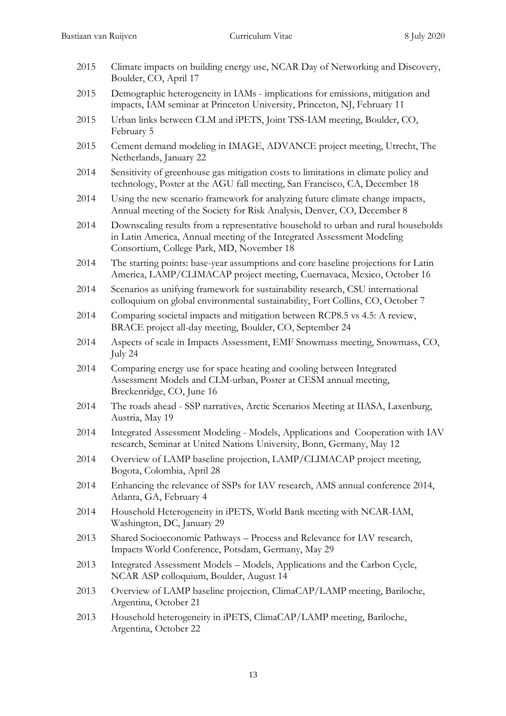- 2015 Climate impacts on building energy use, NCAR Day of Networking and Discovery, Boulder, CO, April 17
- 2015 Demographic heterogeneity in IAMs implications for emissions, mitigation and impacts, IAM seminar at Princeton University, Princeton, NJ, February 11
- 2015 Urban links between CLM and iPETS, Joint TSS-IAM meeting, Boulder, CO, February 5
- 2015 Cement demand modeling in IMAGE, ADVANCE project meeting, Utrecht, The Netherlands, January 22
- 2014 Sensitivity of greenhouse gas mitigation costs to limitations in climate policy and technology, Poster at the AGU fall meeting, San Francisco, CA, December 18
- 2014 Using the new scenario framework for analyzing future climate change impacts, Annual meeting of the Society for Risk Analysis, Denver, CO, December 8
- 2014 Downscaling results from a representative household to urban and rural households in Latin America, Annual meeting of the Integrated Assessment Modeling Consortium, College Park, MD, November 18
- 2014 The starting points: base-year assumptions and core baseline projections for Latin America, LAMP/CLIMACAP project meeting, Cuernavaca, Mexico, October 16
- 2014 Scenarios as unifying framework for sustainability research, CSU international colloquium on global environmental sustainability, Fort Collins, CO, October 7
- 2014 Comparing societal impacts and mitigation between RCP8.5 vs 4.5: A review, BRACE project all-day meeting, Boulder, CO, September 24
- 2014 Aspects of scale in Impacts Assessment, EMF Snowmass meeting, Snowmass, CO, July 24
- 2014 Comparing energy use for space heating and cooling between Integrated Assessment Models and CLM-urban, Poster at CESM annual meeting, Breckenridge, CO, June 16
- 2014 The roads ahead SSP narratives, Arctic Scenarios Meeting at IIASA, Laxenburg, Austria, May 19
- 2014 Integrated Assessment Modeling Models, Applications and Cooperation with IAV research, Seminar at United Nations University, Bonn, Germany, May 12
- 2014 Overview of LAMP baseline projection, LAMP/CLIMACAP project meeting, Bogota, Colombia, April 28
- 2014 Enhancing the relevance of SSPs for IAV research, AMS annual conference 2014, Atlanta, GA, February 4
- 2014 Household Heterogeneity in iPETS, World Bank meeting with NCAR-IAM, Washington, DC, January 29
- 2013 Shared Socioeconomic Pathways Process and Relevance for IAV research, Impacts World Conference, Potsdam, Germany, May 29
- 2013 Integrated Assessment Models Models, Applications and the Carbon Cycle, NCAR ASP colloquium, Boulder, August 14
- 2013 Overview of LAMP baseline projection, ClimaCAP/LAMP meeting, Bariloche, Argentina, October 21
- 2013 Household heterogeneity in iPETS, ClimaCAP/LAMP meeting, Bariloche, Argentina, October 22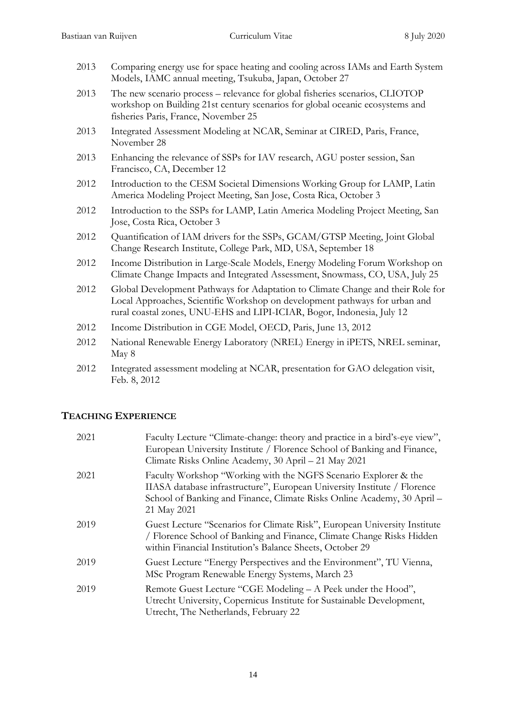- 2013 Comparing energy use for space heating and cooling across IAMs and Earth System Models, IAMC annual meeting, Tsukuba, Japan, October 27
- 2013 The new scenario process relevance for global fisheries scenarios, CLIOTOP workshop on Building 21st century scenarios for global oceanic ecosystems and fisheries Paris, France, November 25
- 2013 Integrated Assessment Modeling at NCAR, Seminar at CIRED, Paris, France, November 28
- 2013 Enhancing the relevance of SSPs for IAV research, AGU poster session, San Francisco, CA, December 12
- 2012 Introduction to the CESM Societal Dimensions Working Group for LAMP, Latin America Modeling Project Meeting, San Jose, Costa Rica, October 3
- 2012 Introduction to the SSPs for LAMP, Latin America Modeling Project Meeting, San Jose, Costa Rica, October 3
- 2012 Quantification of IAM drivers for the SSPs, GCAM/GTSP Meeting, Joint Global Change Research Institute, College Park, MD, USA, September 18
- 2012 Income Distribution in Large-Scale Models, Energy Modeling Forum Workshop on Climate Change Impacts and Integrated Assessment, Snowmass, CO, USA, July 25
- 2012 Global Development Pathways for Adaptation to Climate Change and their Role for Local Approaches, Scientific Workshop on development pathways for urban and rural coastal zones, UNU-EHS and LIPI-ICIAR, Bogor, Indonesia, July 12
- 2012 Income Distribution in CGE Model, OECD, Paris, June 13, 2012
- 2012 National Renewable Energy Laboratory (NREL) Energy in iPETS, NREL seminar, May 8
- 2012 Integrated assessment modeling at NCAR, presentation for GAO delegation visit, Feb. 8, 2012

# **TEACHING EXPERIENCE**

| 2021 | Faculty Lecture "Climate-change: theory and practice in a bird's-eye view",<br>European University Institute / Florence School of Banking and Finance,<br>Climate Risks Online Academy, 30 April – 21 May 2021                        |
|------|---------------------------------------------------------------------------------------------------------------------------------------------------------------------------------------------------------------------------------------|
| 2021 | Faculty Workshop "Working with the NGFS Scenario Explorer & the<br>IIASA database infrastructure", European University Institute / Florence<br>School of Banking and Finance, Climate Risks Online Academy, 30 April –<br>21 May 2021 |
| 2019 | Guest Lecture "Scenarios for Climate Risk", European University Institute<br>/ Florence School of Banking and Finance, Climate Change Risks Hidden<br>within Financial Institution's Balance Sheets, October 29                       |
| 2019 | Guest Lecture "Energy Perspectives and the Environment", TU Vienna,<br>MSc Program Renewable Energy Systems, March 23                                                                                                                 |
| 2019 | Remote Guest Lecture "CGE Modeling – A Peek under the Hood",<br>Utrecht University, Copernicus Institute for Sustainable Development,<br>Utrecht, The Netherlands, February 22                                                        |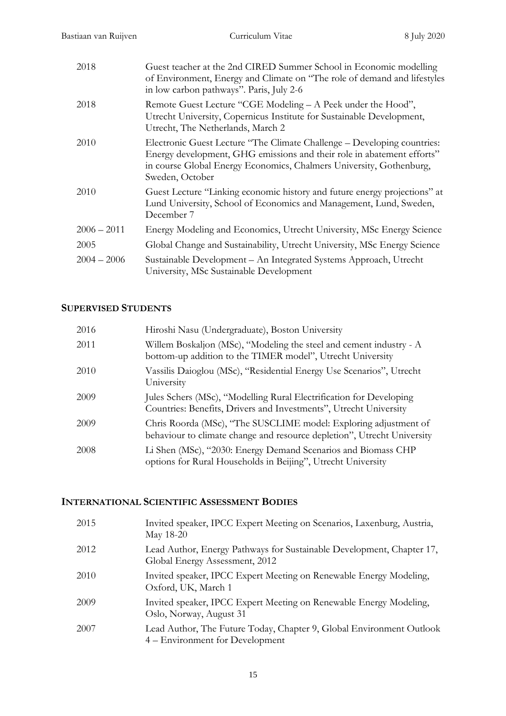| Guest teacher at the 2nd CIRED Summer School in Economic modelling<br>of Environment, Energy and Climate on "The role of demand and lifestyles<br>in low carbon pathways". Paris, July 2-6                                                  |
|---------------------------------------------------------------------------------------------------------------------------------------------------------------------------------------------------------------------------------------------|
| Remote Guest Lecture "CGE Modeling - A Peek under the Hood",<br>Utrecht University, Copernicus Institute for Sustainable Development,<br>Utrecht, The Netherlands, March 2                                                                  |
| Electronic Guest Lecture "The Climate Challenge – Developing countries:<br>Energy development, GHG emissions and their role in abatement efforts"<br>in course Global Energy Economics, Chalmers University, Gothenburg,<br>Sweden, October |
| Guest Lecture "Linking economic history and future energy projections" at<br>Lund University, School of Economics and Management, Lund, Sweden,<br>December 7                                                                               |
| Energy Modeling and Economics, Utrecht University, MSc Energy Science                                                                                                                                                                       |
| Global Change and Sustainability, Utrecht University, MSc Energy Science                                                                                                                                                                    |
| Sustainable Development - An Integrated Systems Approach, Utrecht<br>University, MSc Sustainable Development                                                                                                                                |
|                                                                                                                                                                                                                                             |

# **SUPERVISED STUDENTS**

| 2016 | Hiroshi Nasu (Undergraduate), Boston University                                                                                             |
|------|---------------------------------------------------------------------------------------------------------------------------------------------|
| 2011 | Willem Boskaljon (MSc), "Modeling the steel and cement industry - A<br>bottom-up addition to the TIMER model", Utrecht University           |
| 2010 | Vassilis Daioglou (MSc), "Residential Energy Use Scenarios", Utrecht<br>University                                                          |
| 2009 | Jules Schers (MSc), "Modelling Rural Electrification for Developing<br>Countries: Benefits, Drivers and Investments", Utrecht University    |
| 2009 | Chris Roorda (MSc), "The SUSCLIME model: Exploring adjustment of<br>behaviour to climate change and resource depletion", Utrecht University |
| 2008 | Li Shen (MSc), "2030: Energy Demand Scenarios and Biomass CHP<br>options for Rural Households in Beijing", Utrecht University               |
|      |                                                                                                                                             |

# **INTERNATIONAL SCIENTIFIC ASSESSMENT BODIES**

| 2015 | Invited speaker, IPCC Expert Meeting on Scenarios, Laxenburg, Austria,<br>May 18-20                     |
|------|---------------------------------------------------------------------------------------------------------|
| 2012 | Lead Author, Energy Pathways for Sustainable Development, Chapter 17,<br>Global Energy Assessment, 2012 |
| 2010 | Invited speaker, IPCC Expert Meeting on Renewable Energy Modeling,<br>Oxford, UK, March 1               |
| 2009 | Invited speaker, IPCC Expert Meeting on Renewable Energy Modeling,<br>Oslo, Norway, August 31           |
| 2007 | Lead Author, The Future Today, Chapter 9, Global Environment Outlook<br>4 – Environment for Development |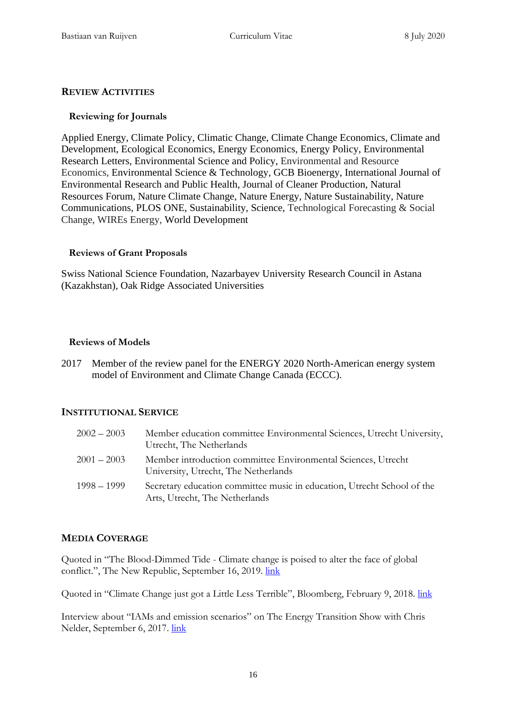# **REVIEW ACTIVITIES**

### **Reviewing for Journals**

Applied Energy, Climate Policy, Climatic Change, Climate Change Economics, Climate and Development, Ecological Economics, Energy Economics, Energy Policy, Environmental Research Letters, Environmental Science and Policy, Environmental and Resource Economics, Environmental Science & Technology, GCB Bioenergy, International Journal of Environmental Research and Public Health, Journal of Cleaner Production, Natural Resources Forum, Nature Climate Change, Nature Energy, Nature Sustainability, Nature Communications, PLOS ONE, Sustainability, Science, Technological Forecasting & Social Change, WIREs Energy, World Development

#### **Reviews of Grant Proposals**

Swiss National Science Foundation, Nazarbayev University Research Council in Astana (Kazakhstan), Oak Ridge Associated Universities

#### **Reviews of Models**

2017 Member of the review panel for the ENERGY 2020 North-American energy system model of Environment and Climate Change Canada (ECCC).

# **INSTITUTIONAL SERVICE**

| $2002 - 2003$ | Member education committee Environmental Sciences, Utrecht University,<br>Utrecht, The Netherlands        |
|---------------|-----------------------------------------------------------------------------------------------------------|
| $2001 - 2003$ | Member introduction committee Environmental Sciences, Utrecht<br>University, Utrecht, The Netherlands     |
| 1998 – 1999   | Secretary education committee music in education, Utrecht School of the<br>Arts, Utrecht, The Netherlands |

# **MEDIA COVERAGE**

Quoted in "The Blood-Dimmed Tide - Climate change is poised to alter the face of global conflict.", The New Republic, September 16, 2019. [link](https://newrepublic.com/article/154953/climate-change-future-global-conflict-nationalism)

Quoted in "Climate Change just got a Little Less Terrible", Bloomberg, February 9, 2018. [link](https://www.bloomberg.com/news/articles/2018-02-09/climate-change-just-got-a-little-less-terrible)

Interview about "IAMs and emission scenarios" on The Energy Transition Show with Chris Nelder, September 6, 2017. [link](https://xenetwork.org/ets/episodes/episode-51-climate-science-part-6-emissions-scenarios/)